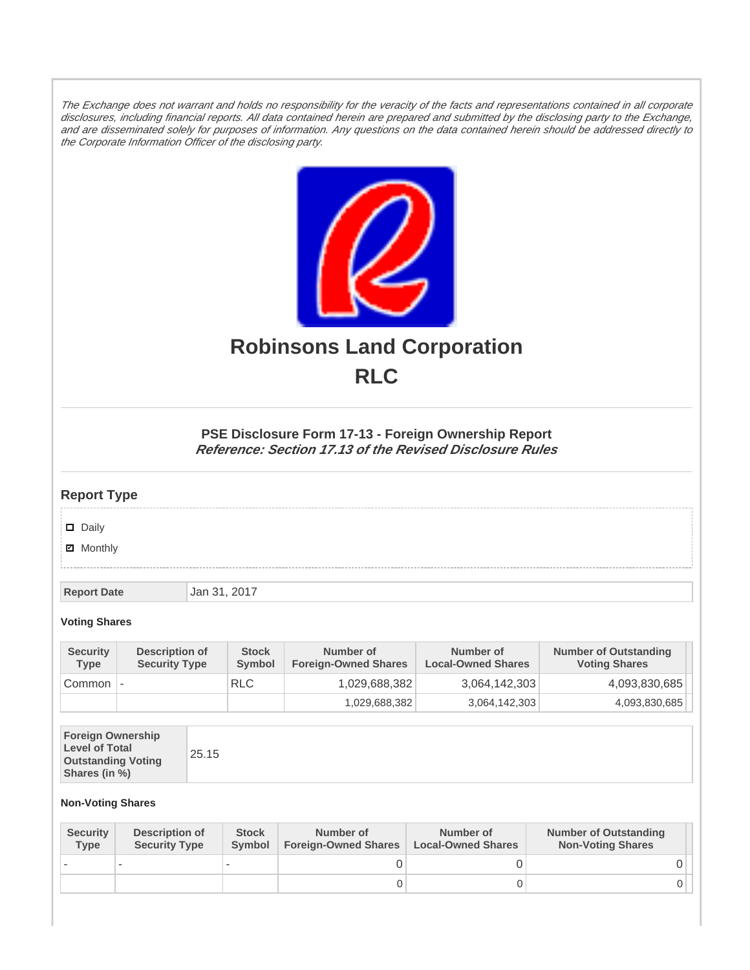The Exchange does not warrant and holds no responsibility for the veracity of the facts and representations contained in all corporate disclosures, including financial reports. All data contained herein are prepared and submitted by the disclosing party to the Exchange, and are disseminated solely for purposes of information. Any questions on the data contained herein should be addressed directly to the Corporate Information Officer of the disclosing party.



# **Robinsons Land Corporation RLC**

## **PSE Disclosure Form 17-13 - Foreign Ownership Report Reference: Section 17.13 of the Revised Disclosure Rules**

## **Report Type**

Daily

**Ø** Monthly

**Report Date Jan 31, 2017** 

#### **Voting Shares**

| <b>Security</b><br><b>Type</b> | Description of<br><b>Security Type</b> | <b>Stock</b><br><b>Symbol</b> | Number of<br><b>Foreign-Owned Shares</b> | Number of<br><b>Local-Owned Shares</b> | <b>Number of Outstanding</b><br><b>Voting Shares</b> |
|--------------------------------|----------------------------------------|-------------------------------|------------------------------------------|----------------------------------------|------------------------------------------------------|
| Common                         |                                        | <b>RLC</b>                    | 1,029,688,382                            | 3,064,142,303                          | 4,093,830,685                                        |
|                                |                                        |                               | 1,029,688,382                            | 3,064,142,303                          | 4,093,830,685                                        |

| <b>Foreign Ownership</b><br><b>Level of Total</b><br>25.15<br><b>Outstanding Voting</b><br>Shares (in %) |
|----------------------------------------------------------------------------------------------------------|
|----------------------------------------------------------------------------------------------------------|

### **Non-Voting Shares**

| <b>Security</b><br><b>Type</b> | Description of<br><b>Security Type</b> | <b>Stock</b><br>Symbol | Number of<br><b>Foreign-Owned Shares</b> | Number of<br><b>Local-Owned Shares</b> | <b>Number of Outstanding</b><br><b>Non-Voting Shares</b> |
|--------------------------------|----------------------------------------|------------------------|------------------------------------------|----------------------------------------|----------------------------------------------------------|
|                                |                                        |                        |                                          |                                        |                                                          |
|                                |                                        |                        | O                                        |                                        |                                                          |